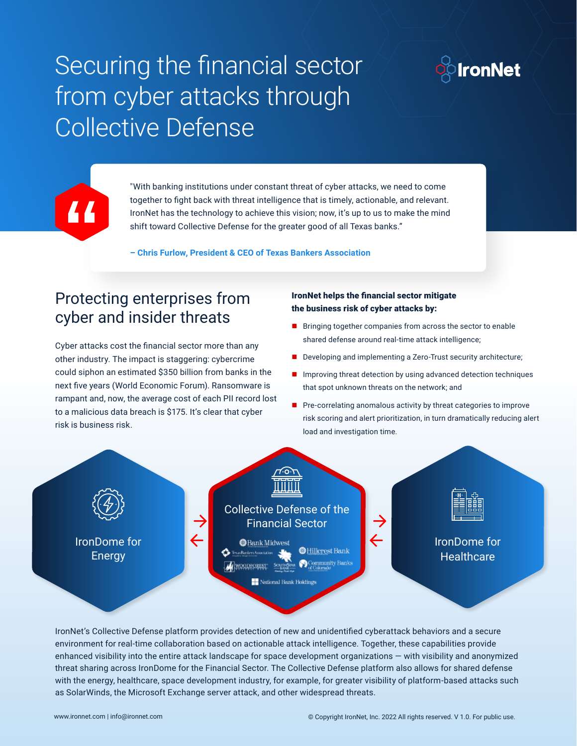# Securing the financial sector from cyber attacks through Collective Defense





"With banking institutions under constant threat of cyber attacks, we need to come together to fight back with threat intelligence that is timely, actionable, and relevant. IronNet has the technology to achieve this vision; now, it's up to us to make the mind shift toward Collective Defense for the greater good of all Texas banks."

**– Chris Furlow, President & CEO of Texas Bankers Association**

#### Protecting enterprises from cyber and insider threats

Cyber attacks cost the financial sector more than any other industry. The impact is staggering: cybercrime could siphon an estimated \$350 billion from banks in the next five years (World Economic Forum). Ransomware is rampant and, now, the average cost of each PII record lost to a malicious data breach is \$175. It's clear that cyber risk is business risk.

#### IronNet helps the financial sector mitigate the business risk of cyber attacks by:

- **Bringing together companies from across the sector to enable** shared defense around real-time attack intelligence;
- Developing and implementing a Zero-Trust security architecture;
- $\blacksquare$  Improving threat detection by using advanced detection techniques that spot unknown threats on the network; and
- $\blacksquare$  Pre-correlating anomalous activity by threat categories to improve risk scoring and alert prioritization, in turn dramatically reducing alert load and investigation time.



IronNet's Collective Defense platform provides detection of new and unidentified cyberattack behaviors and a secure environment for real-time collaboration based on actionable attack intelligence. Together, these capabilities provide enhanced visibility into the entire attack landscape for space development organizations — with visibility and anonymized threat sharing across IronDome for the Financial Sector. The Collective Defense platform also allows for shared defense with the energy, healthcare, space development industry, for example, for greater visibility of platform-based attacks such as SolarWinds, the Microsoft Exchange server attack, and other widespread threats.